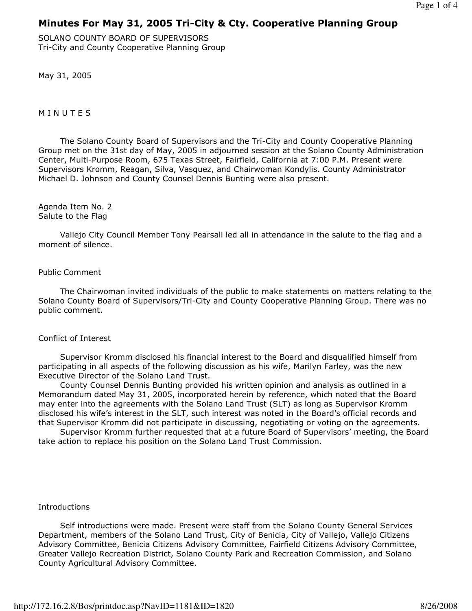# Minutes For May 31, 2005 Tri-City & Cty. Cooperative Planning Group

SOLANO COUNTY BOARD OF SUPERVISORS Tri-City and County Cooperative Planning Group

May 31, 2005

**MINUTES** 

 The Solano County Board of Supervisors and the Tri-City and County Cooperative Planning Group met on the 31st day of May, 2005 in adjourned session at the Solano County Administration Center, Multi-Purpose Room, 675 Texas Street, Fairfield, California at 7:00 P.M. Present were Supervisors Kromm, Reagan, Silva, Vasquez, and Chairwoman Kondylis. County Administrator Michael D. Johnson and County Counsel Dennis Bunting were also present.

Agenda Item No. 2 Salute to the Flag

 Vallejo City Council Member Tony Pearsall led all in attendance in the salute to the flag and a moment of silence.

## Public Comment

 The Chairwoman invited individuals of the public to make statements on matters relating to the Solano County Board of Supervisors/Tri-City and County Cooperative Planning Group. There was no public comment.

## Conflict of Interest

 Supervisor Kromm disclosed his financial interest to the Board and disqualified himself from participating in all aspects of the following discussion as his wife, Marilyn Farley, was the new Executive Director of the Solano Land Trust.

 County Counsel Dennis Bunting provided his written opinion and analysis as outlined in a Memorandum dated May 31, 2005, incorporated herein by reference, which noted that the Board may enter into the agreements with the Solano Land Trust (SLT) as long as Supervisor Kromm disclosed his wife's interest in the SLT, such interest was noted in the Board's official records and that Supervisor Kromm did not participate in discussing, negotiating or voting on the agreements.

 Supervisor Kromm further requested that at a future Board of Supervisors' meeting, the Board take action to replace his position on the Solano Land Trust Commission.

## **Introductions**

 Self introductions were made. Present were staff from the Solano County General Services Department, members of the Solano Land Trust, City of Benicia, City of Vallejo, Vallejo Citizens Advisory Committee, Benicia Citizens Advisory Committee, Fairfield Citizens Advisory Committee, Greater Vallejo Recreation District, Solano County Park and Recreation Commission, and Solano County Agricultural Advisory Committee.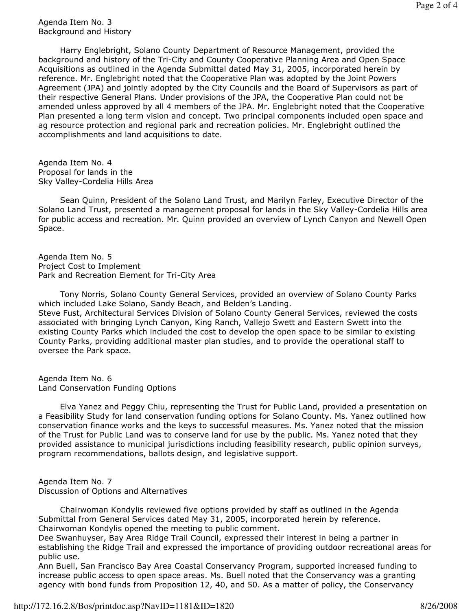#### Agenda Item No. 3 Background and History

 Harry Englebright, Solano County Department of Resource Management, provided the background and history of the Tri-City and County Cooperative Planning Area and Open Space Acquisitions as outlined in the Agenda Submittal dated May 31, 2005, incorporated herein by reference. Mr. Englebright noted that the Cooperative Plan was adopted by the Joint Powers Agreement (JPA) and jointly adopted by the City Councils and the Board of Supervisors as part of their respective General Plans. Under provisions of the JPA, the Cooperative Plan could not be amended unless approved by all 4 members of the JPA. Mr. Englebright noted that the Cooperative Plan presented a long term vision and concept. Two principal components included open space and ag resource protection and regional park and recreation policies. Mr. Englebright outlined the accomplishments and land acquisitions to date.

Agenda Item No. 4 Proposal for lands in the Sky Valley-Cordelia Hills Area

 Sean Quinn, President of the Solano Land Trust, and Marilyn Farley, Executive Director of the Solano Land Trust, presented a management proposal for lands in the Sky Valley-Cordelia Hills area for public access and recreation. Mr. Quinn provided an overview of Lynch Canyon and Newell Open Space.

Agenda Item No. 5 Project Cost to Implement Park and Recreation Element for Tri-City Area

 Tony Norris, Solano County General Services, provided an overview of Solano County Parks which included Lake Solano, Sandy Beach, and Belden's Landing. Steve Fust, Architectural Services Division of Solano County General Services, reviewed the costs associated with bringing Lynch Canyon, King Ranch, Vallejo Swett and Eastern Swett into the existing County Parks which included the cost to develop the open space to be similar to existing County Parks, providing additional master plan studies, and to provide the operational staff to oversee the Park space.

Agenda Item No. 6 Land Conservation Funding Options

 Elva Yanez and Peggy Chiu, representing the Trust for Public Land, provided a presentation on a Feasibility Study for land conservation funding options for Solano County. Ms. Yanez outlined how conservation finance works and the keys to successful measures. Ms. Yanez noted that the mission of the Trust for Public Land was to conserve land for use by the public. Ms. Yanez noted that they provided assistance to municipal jurisdictions including feasibility research, public opinion surveys, program recommendations, ballots design, and legislative support.

Agenda Item No. 7 Discussion of Options and Alternatives

 Chairwoman Kondylis reviewed five options provided by staff as outlined in the Agenda Submittal from General Services dated May 31, 2005, incorporated herein by reference. Chairwoman Kondylis opened the meeting to public comment.

Dee Swanhuyser, Bay Area Ridge Trail Council, expressed their interest in being a partner in establishing the Ridge Trail and expressed the importance of providing outdoor recreational areas for public use.

Ann Buell, San Francisco Bay Area Coastal Conservancy Program, supported increased funding to increase public access to open space areas. Ms. Buell noted that the Conservancy was a granting agency with bond funds from Proposition 12, 40, and 50. As a matter of policy, the Conservancy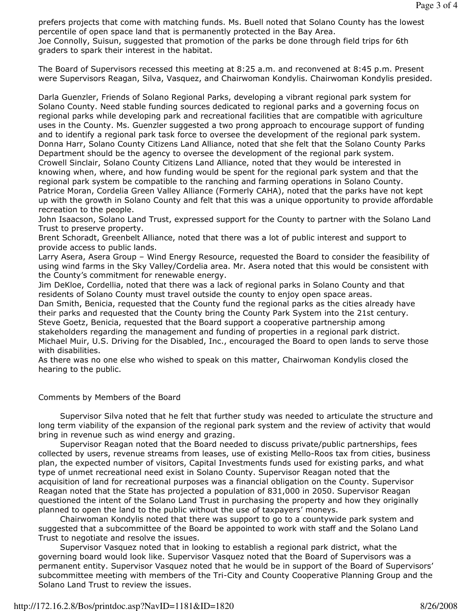prefers projects that come with matching funds. Ms. Buell noted that Solano County has the lowest percentile of open space land that is permanently protected in the Bay Area. Joe Connolly, Suisun, suggested that promotion of the parks be done through field trips for 6th graders to spark their interest in the habitat.

The Board of Supervisors recessed this meeting at 8:25 a.m. and reconvened at 8:45 p.m. Present were Supervisors Reagan, Silva, Vasquez, and Chairwoman Kondylis. Chairwoman Kondylis presided.

Darla Guenzler, Friends of Solano Regional Parks, developing a vibrant regional park system for Solano County. Need stable funding sources dedicated to regional parks and a governing focus on regional parks while developing park and recreational facilities that are compatible with agriculture uses in the County. Ms. Guenzler suggested a two prong approach to encourage support of funding and to identify a regional park task force to oversee the development of the regional park system. Donna Harr, Solano County Citizens Land Alliance, noted that she felt that the Solano County Parks Department should be the agency to oversee the development of the regional park system. Crowell Sinclair, Solano County Citizens Land Alliance, noted that they would be interested in knowing when, where, and how funding would be spent for the regional park system and that the regional park system be compatible to the ranching and farming operations in Solano County. Patrice Moran, Cordelia Green Valley Alliance (Formerly CAHA), noted that the parks have not kept up with the growth in Solano County and felt that this was a unique opportunity to provide affordable recreation to the people.

John Isaacson, Solano Land Trust, expressed support for the County to partner with the Solano Land Trust to preserve property.

Brent Schoradt, Greenbelt Alliance, noted that there was a lot of public interest and support to provide access to public lands.

Larry Asera, Asera Group – Wind Energy Resource, requested the Board to consider the feasibility of using wind farms in the Sky Valley/Cordelia area. Mr. Asera noted that this would be consistent with the County's commitment for renewable energy.

Jim DeKloe, Cordellia, noted that there was a lack of regional parks in Solano County and that residents of Solano County must travel outside the county to enjoy open space areas.

Dan Smith, Benicia, requested that the County fund the regional parks as the cities already have their parks and requested that the County bring the County Park System into the 21st century. Steve Goetz, Benicia, requested that the Board support a cooperative partnership among stakeholders regarding the management and funding of properties in a regional park district. Michael Muir, U.S. Driving for the Disabled, Inc., encouraged the Board to open lands to serve those with disabilities.

As there was no one else who wished to speak on this matter, Chairwoman Kondylis closed the hearing to the public.

#### Comments by Members of the Board

 Supervisor Silva noted that he felt that further study was needed to articulate the structure and long term viability of the expansion of the regional park system and the review of activity that would bring in revenue such as wind energy and grazing.

 Supervisor Reagan noted that the Board needed to discuss private/public partnerships, fees collected by users, revenue streams from leases, use of existing Mello-Roos tax from cities, business plan, the expected number of visitors, Capital Investments funds used for existing parks, and what type of unmet recreational need exist in Solano County. Supervisor Reagan noted that the acquisition of land for recreational purposes was a financial obligation on the County. Supervisor Reagan noted that the State has projected a population of 831,000 in 2050. Supervisor Reagan questioned the intent of the Solano Land Trust in purchasing the property and how they originally planned to open the land to the public without the use of taxpayers' moneys.

 Chairwoman Kondylis noted that there was support to go to a countywide park system and suggested that a subcommittee of the Board be appointed to work with staff and the Solano Land Trust to negotiate and resolve the issues.

 Supervisor Vasquez noted that in looking to establish a regional park district, what the governing board would look like. Supervisor Vasquez noted that the Board of Supervisors was a permanent entity. Supervisor Vasquez noted that he would be in support of the Board of Supervisors' subcommittee meeting with members of the Tri-City and County Cooperative Planning Group and the Solano Land Trust to review the issues.